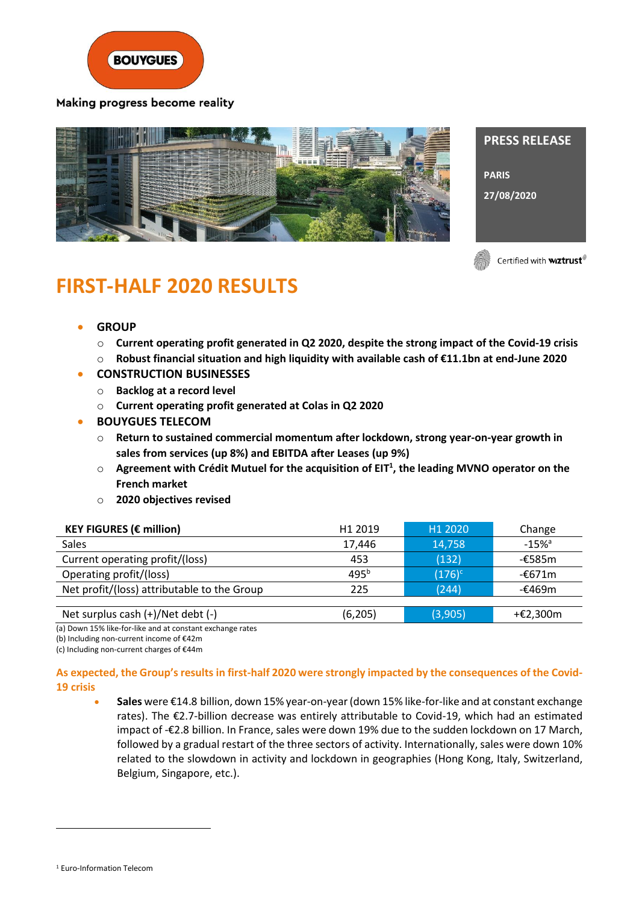

Making progress become reality



**PRESS RELEASE PARIS 27/08/2020**

Certified with **wiztrust**®

# **FIRST-HALF 2020 RESULTS**

- **GROUP**
	- o **Current operating profit generated in Q2 2020, despite the strong impact of the Covid-19 crisis**
	- o **Robust financial situation and high liquidity with available cash of €11.1bn at end-June 2020**
	- **CONSTRUCTION BUSINESSES**
	- o **Backlog at a record level**
	- o **Current operating profit generated at Colas in Q2 2020**
- **BOUYGUES TELECOM**
	- o **Return to sustained commercial momentum after lockdown, strong year-on-year growth in sales from services (up 8%) and EBITDA after Leases (up 9%)**
	- o **Agreement with Crédit Mutuel for the acquisition of EIT<sup>1</sup> , the leading MVNO operator on the French market**
	- o **2020 objectives revised**

| <b>KEY FIGURES (€ million)</b>              | H <sub>1</sub> 2019 | H <sub>1</sub> 2020 | Change              |
|---------------------------------------------|---------------------|---------------------|---------------------|
| <b>Sales</b>                                | 17.446              | 14,758              | $-15%$ <sup>a</sup> |
| Current operating profit/(loss)             | 453                 | (132)               | -€585m              |
| Operating profit/(loss)                     | $495^{b}$           | $(176)^c$           | -€671m              |
| Net profit/(loss) attributable to the Group | 225                 | (244)               | -€469m              |
|                                             |                     |                     |                     |
| Net surplus cash (+)/Net debt (-)           | (6, 205)            | (3,905)             | +€2,300m            |

(a) Down 15% like-for-like and at constant exchange rates

(b) Including non-current income of €42m

(c) Including non-current charges of €44m

### **As expected, the Group's results in first-half 2020 were strongly impacted by the consequences of the Covid-19 crisis**

• **Sales** were €14.8 billion, down 15% year-on-year (down 15% like-for-like and at constant exchange rates). The €2.7-billion decrease was entirely attributable to Covid-19, which had an estimated impact of -€2.8 billion. In France, sales were down 19% due to the sudden lockdown on 17 March, followed by a gradual restart of the three sectors of activity. Internationally, sales were down 10% related to the slowdown in activity and lockdown in geographies (Hong Kong, Italy, Switzerland, Belgium, Singapore, etc.).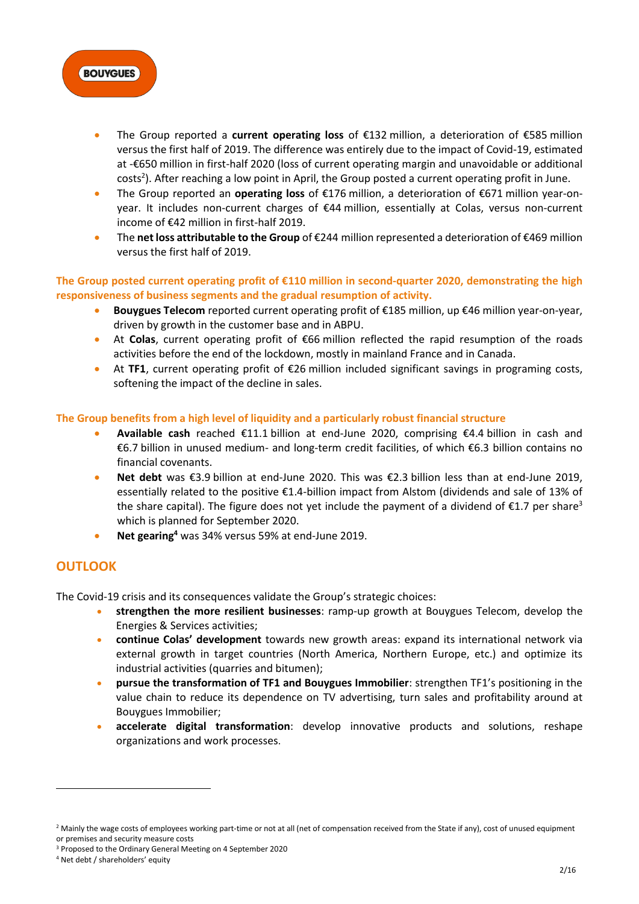

- The Group reported a **current operating loss** of €132 million, a deterioration of €585 million versus the first half of 2019. The difference was entirely due to the impact of Covid-19, estimated at -€650 million in first-half 2020 (loss of current operating margin and unavoidable or additional costs<sup>2</sup>). After reaching a low point in April, the Group posted a current operating profit in June.
- The Group reported an **operating loss** of €176 million, a deterioration of €671 million year-onyear. It includes non-current charges of €44 million, essentially at Colas, versus non-current income of €42 million in first-half 2019.
- The **net loss attributable to the Group** of €244 million represented a deterioration of €469 million versus the first half of 2019.

**The Group posted current operating profit of €110 million in second-quarter 2020, demonstrating the high responsiveness of business segments and the gradual resumption of activity.**

- **Bouygues Telecom** reported current operating profit of €185 million, up €46 million year-on-year, driven by growth in the customer base and in ABPU.
- At **Colas**, current operating profit of €66 million reflected the rapid resumption of the roads activities before the end of the lockdown, mostly in mainland France and in Canada.
- At **TF1**, current operating profit of €26 million included significant savings in programing costs, softening the impact of the decline in sales.

#### **The Group benefits from a high level of liquidity and a particularly robust financial structure**

- **Available cash** reached €11.1 billion at end-June 2020, comprising €4.4 billion in cash and €6.7 billion in unused medium- and long-term credit facilities, of which €6.3 billion contains no financial covenants.
- **Net debt** was €3.9 billion at end-June 2020. This was €2.3 billion less than at end-June 2019, essentially related to the positive €1.4-billion impact from Alstom (dividends and sale of 13% of the share capital). The figure does not yet include the payment of a dividend of  $\epsilon$ 1.7 per share<sup>3</sup> which is planned for September 2020.
- **Net gearing<sup>4</sup>** was 34% versus 59% at end-June 2019.

# **OUTLOOK**

The Covid-19 crisis and its consequences validate the Group's strategic choices:

- **strengthen the more resilient businesses**: ramp-up growth at Bouygues Telecom, develop the Energies & Services activities;
- **continue Colas' development** towards new growth areas: expand its international network via external growth in target countries (North America, Northern Europe, etc.) and optimize its industrial activities (quarries and bitumen):
- **pursue the transformation of TF1 and Bouygues Immobilier**: strengthen TF1's positioning in the value chain to reduce its dependence on TV advertising, turn sales and profitability around at Bouygues Immobilier;
- **accelerate digital transformation**: develop innovative products and solutions, reshape organizations and work processes.

<sup>&</sup>lt;sup>2</sup> Mainly the wage costs of employees working part-time or not at all (net of compensation received from the State if any), cost of unused equipment or premises and security measure costs

<sup>3</sup> Proposed to the Ordinary General Meeting on 4 September 2020

<sup>4</sup> Net debt / shareholders' equity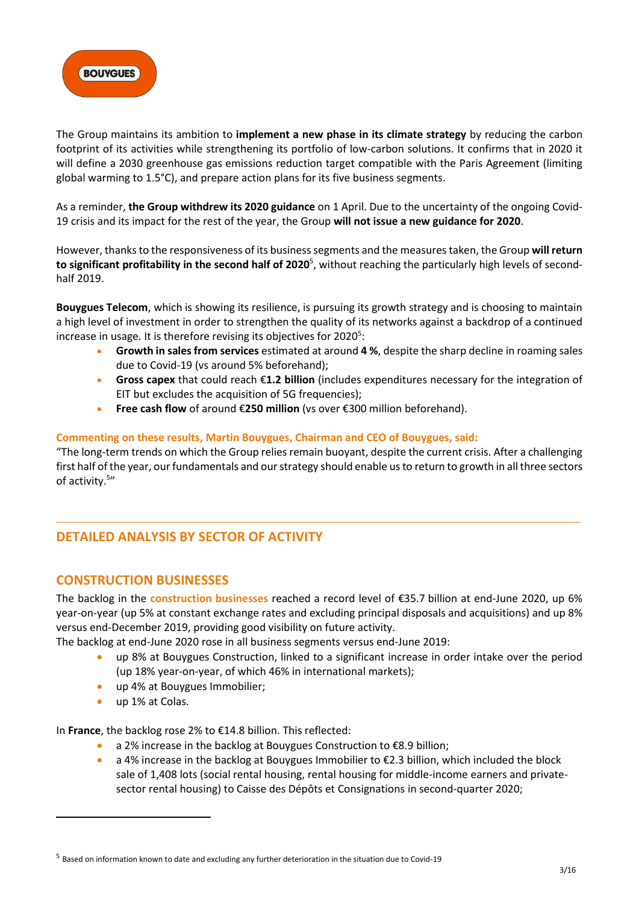

The Group maintains its ambition to **implement a new phase in its climate strategy** by reducing the carbon footprint of its activities while strengthening its portfolio of low-carbon solutions. It confirms that in 2020 it will define a 2030 greenhouse gas emissions reduction target compatible with the Paris Agreement (limiting global warming to 1.5°C), and prepare action plans for its five business segments.

As a reminder, **the Group withdrew its 2020 guidance** on 1 April. Due to the uncertainty of the ongoing Covid-19 crisis and its impact for the rest of the year, the Group **will not issue a new guidance for 2020**.

However, thanksto the responsiveness of its business segments and the measures taken, the Group **will return to significant profitability in the second half of 2020**<sup>5</sup> , without reaching the particularly high levels of secondhalf 2019.

**Bouygues Telecom**, which is showing its resilience, is pursuing its growth strategy and is choosing to maintain a high level of investment in order to strengthen the quality of its networks against a backdrop of a continued increase in usage. It is therefore revising its objectives for 2020<sup>5</sup>:

- **Growth in sales from services** estimated at around **4 %**, despite the sharp decline in roaming sales due to Covid-19 (vs around 5% beforehand);
- **Gross capex** that could reach €**1.2 billion** (includes expenditures necessary for the integration of EIT but excludes the acquisition of 5G frequencies);
- **Free cash flow** of around €**250 million** (vs over €300 million beforehand).

#### **Commenting on these results, Martin Bouygues, Chairman and CEO of Bouygues, said:**

"The long-term trends on which the Group relies remain buoyant, despite the current crisis. After a challenging first half of the year, our fundamentals and our strategy should enable us to return to growth in all three sectors of activity.<sup>5</sup>"

# **DETAILED ANALYSIS BY SECTOR OF ACTIVITY**

## **CONSTRUCTION BUSINESSES**

The backlog in the **construction businesses** reached a record level of €35.7 billion at end-June 2020, up 6% year-on-year (up 5% at constant exchange rates and excluding principal disposals and acquisitions) and up 8% versus end-December 2019, providing good visibility on future activity.

The backlog at end-June 2020 rose in all business segments versus end-June 2019:

- up 8% at Bouygues Construction, linked to a significant increase in order intake over the period (up 18% year-on-year, of which 46% in international markets);
- up 4% at Bouygues Immobilier;
- up 1% at Colas.

In **France**, the backlog rose 2% to €14.8 billion. This reflected:

- a 2% increase in the backlog at Bouygues Construction to €8.9 billion;
- a 4% increase in the backlog at Bouygues Immobilier to €2.3 billion, which included the block sale of 1,408 lots (social rental housing, rental housing for middle-income earners and privatesector rental housing) to Caisse des Dépôts et Consignations in second-quarter 2020;

<sup>&</sup>lt;sup>5</sup> Based on information known to date and excluding any further deterioration in the situation due to Covid-19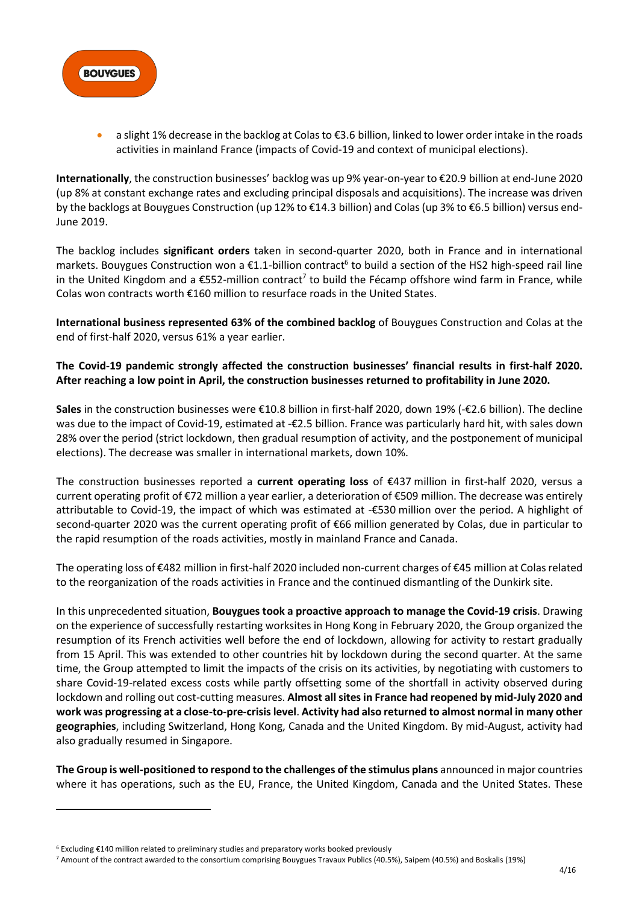

• a slight 1% decrease in the backlog at Colas to €3.6 billion, linked to lower order intake in the roads activities in mainland France (impacts of Covid-19 and context of municipal elections).

**Internationally**, the construction businesses' backlog was up 9% year-on-year to €20.9 billion at end-June 2020 (up 8% at constant exchange rates and excluding principal disposals and acquisitions). The increase was driven by the backlogs at Bouygues Construction (up 12% to €14.3 billion) and Colas(up 3% to €6.5 billion) versus end-June 2019.

The backlog includes **significant orders** taken in second-quarter 2020, both in France and in international markets. Bouygues Construction won a €1.1-billion contract<sup>6</sup> to build a section of the HS2 high-speed rail line in the United Kingdom and a  $\epsilon$ 552-million contract<sup>7</sup> to build the Fécamp offshore wind farm in France, while Colas won contracts worth €160 million to resurface roads in the United States.

**International business represented 63% of the combined backlog** of Bouygues Construction and Colas at the end of first-half 2020, versus 61% a year earlier.

#### **The Covid-19 pandemic strongly affected the construction businesses' financial results in first-half 2020. After reaching a low point in April, the construction businesses returned to profitability in June 2020.**

**Sales** in the construction businesses were €10.8 billion in first-half 2020, down 19% (-€2.6 billion). The decline was due to the impact of Covid-19, estimated at -€2.5 billion. France was particularly hard hit, with sales down 28% over the period (strict lockdown, then gradual resumption of activity, and the postponement of municipal elections). The decrease was smaller in international markets, down 10%.

The construction businesses reported a **current operating loss** of €437 million in first-half 2020, versus a current operating profit of  $\epsilon$ 72 million a year earlier, a deterioration of  $\epsilon$ 509 million. The decrease was entirely attributable to Covid-19, the impact of which was estimated at -€530 million over the period. A highlight of second-quarter 2020 was the current operating profit of €66 million generated by Colas, due in particular to the rapid resumption of the roads activities, mostly in mainland France and Canada.

The operating loss of €482 million in first-half 2020 included non-current charges of €45 million at Colas related to the reorganization of the roads activities in France and the continued dismantling of the Dunkirk site.

In this unprecedented situation, **Bouygues took a proactive approach to manage the Covid-19 crisis**. Drawing on the experience of successfully restarting worksites in Hong Kong in February 2020, the Group organized the resumption of its French activities well before the end of lockdown, allowing for activity to restart gradually from 15 April. This was extended to other countries hit by lockdown during the second quarter. At the same time, the Group attempted to limit the impacts of the crisis on its activities, by negotiating with customers to share Covid-19-related excess costs while partly offsetting some of the shortfall in activity observed during lockdown and rolling out cost-cutting measures. Almost all sites in France had reopened by mid-July 2020 and **work was progressing at a close-to-pre-crisis level**. **Activity had also returned to almost normal in many other geographies**, including Switzerland, Hong Kong, Canada and the United Kingdom. By mid-August, activity had also gradually resumed in Singapore.

**The Group is well-positioned to respond to the challenges of the stimulus plans** announced in major countries where it has operations, such as the EU, France, the United Kingdom, Canada and the United States. These

<sup>6</sup> Excluding €140 million related to preliminary studies and preparatory works booked previously

<sup>7</sup> Amount of the contract awarded to the consortium comprising Bouygues Travaux Publics (40.5%), Saipem (40.5%) and Boskalis (19%)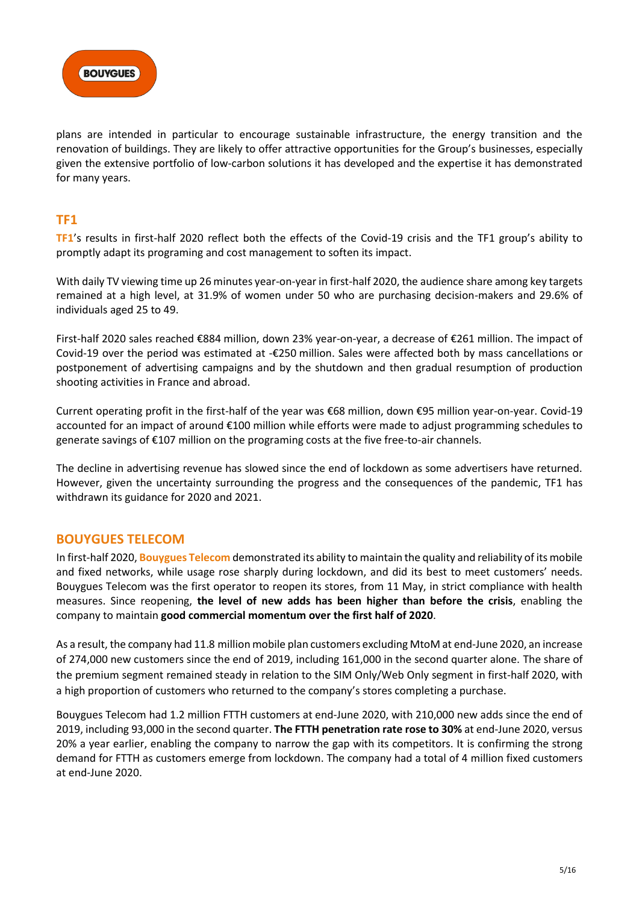

plans are intended in particular to encourage sustainable infrastructure, the energy transition and the renovation of buildings. They are likely to offer attractive opportunities for the Group's businesses, especially given the extensive portfolio of low-carbon solutions it has developed and the expertise it has demonstrated for many years.

## **TF1**

**TF1**'s results in first-half 2020 reflect both the effects of the Covid-19 crisis and the TF1 group's ability to promptly adapt its programing and cost management to soften its impact.

With daily TV viewing time up 26 minutes year-on-year in first-half 2020, the audience share among key targets remained at a high level, at 31.9% of women under 50 who are purchasing decision-makers and 29.6% of individuals aged 25 to 49.

First-half 2020 sales reached €884 million, down 23% year-on-year, a decrease of €261 million. The impact of Covid-19 over the period was estimated at -€250 million. Sales were affected both by mass cancellations or postponement of advertising campaigns and by the shutdown and then gradual resumption of production shooting activities in France and abroad.

Current operating profit in the first-half of the year was €68 million, down €95 million year-on-year. Covid-19 accounted for an impact of around €100 million while efforts were made to adjust programming schedules to generate savings of €107 million on the programing costs at the five free-to-air channels.

The decline in advertising revenue has slowed since the end of lockdown as some advertisers have returned. However, given the uncertainty surrounding the progress and the consequences of the pandemic, TF1 has withdrawn its guidance for 2020 and 2021.

## **BOUYGUES TELECOM**

In first-half 2020, **Bouygues Telecom** demonstrated its ability to maintain the quality and reliability of its mobile and fixed networks, while usage rose sharply during lockdown, and did its best to meet customers' needs. Bouygues Telecom was the first operator to reopen its stores, from 11 May, in strict compliance with health measures. Since reopening, **the level of new adds has been higher than before the crisis**, enabling the company to maintain **good commercial momentum over the first half of 2020**.

As a result, the company had 11.8 million mobile plan customers excluding MtoM at end-June 2020, an increase of 274,000 new customers since the end of 2019, including 161,000 in the second quarter alone. The share of the premium segment remained steady in relation to the SIM Only/Web Only segment in first-half 2020, with a high proportion of customers who returned to the company's stores completing a purchase.

Bouygues Telecom had 1.2 million FTTH customers at end-June 2020, with 210,000 new adds since the end of 2019, including 93,000 in the second quarter. **The FTTH penetration rate rose to 30%** at end-June 2020, versus 20% a year earlier, enabling the company to narrow the gap with its competitors. It is confirming the strong demand for FTTH as customers emerge from lockdown. The company had a total of 4 million fixed customers at end-June 2020.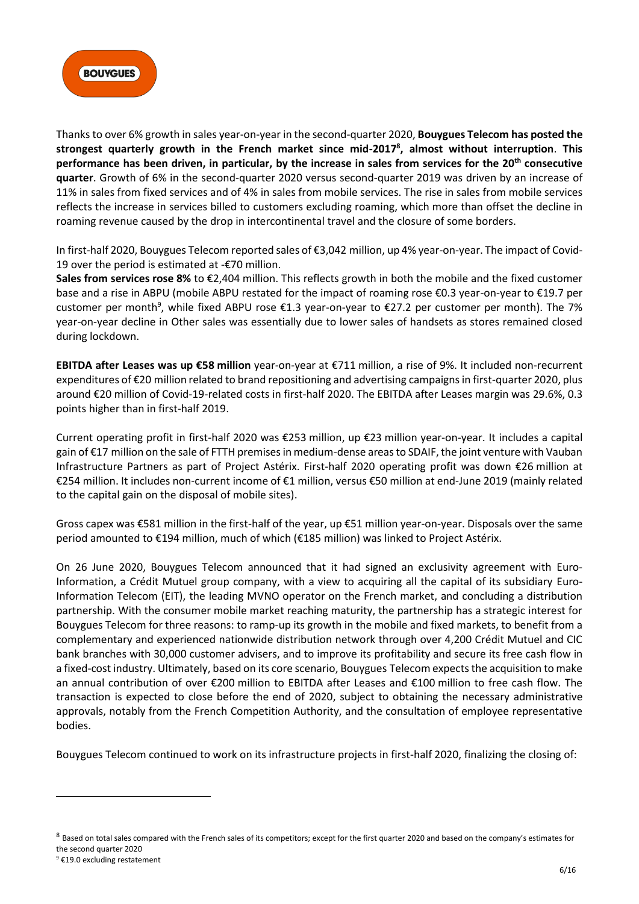

Thanks to over 6% growth in sales year-on-year in the second-quarter 2020, **Bouygues Telecom has posted the strongest quarterly growth in the French market since mid-2017<sup>8</sup> , almost without interruption**. **This performance has been driven, in particular, by the increase in sales from services for the 20th consecutive quarter**. Growth of 6% in the second-quarter 2020 versus second-quarter 2019 was driven by an increase of 11% in sales from fixed services and of 4% in sales from mobile services. The rise in sales from mobile services reflects the increase in services billed to customers excluding roaming, which more than offset the decline in roaming revenue caused by the drop in intercontinental travel and the closure of some borders.

In first-half 2020, Bouygues Telecom reported sales of €3,042 million, up 4% year-on-year. The impact of Covid-19 over the period is estimated at -€70 million.

**Sales from services rose 8%** to €2,404 million. This reflects growth in both the mobile and the fixed customer base and a rise in ABPU (mobile ABPU restated for the impact of roaming rose €0.3 year-on-year to €19.7 per customer per month<sup>9</sup>, while fixed ABPU rose  $\epsilon$ 1.3 year-on-year to  $\epsilon$ 27.2 per customer per month). The 7% year-on-year decline in Other sales was essentially due to lower sales of handsets as stores remained closed during lockdown.

**EBITDA after Leases was up €58 million** year-on-year at €711 million, a rise of 9%. It included non-recurrent expenditures of €20 million related to brand repositioning and advertising campaigns in first-quarter 2020, plus around €20 million of Covid-19-related costs in first-half 2020. The EBITDA after Leases margin was 29.6%, 0.3 points higher than in first-half 2019.

Current operating profit in first-half 2020 was €253 million, up €23 million year-on-year. It includes a capital gain of €17 million on the sale of FTTH premises in medium-dense areas to SDAIF, the joint venture with Vauban Infrastructure Partners as part of Project Astérix. First-half 2020 operating profit was down €26 million at €254 million. It includes non-current income of €1 million, versus €50 million at end-June 2019 (mainly related to the capital gain on the disposal of mobile sites).

Gross capex was €581 million in the first-half of the year, up €51 million year-on-year. Disposals over the same period amounted to €194 million, much of which (€185 million) was linked to Project Astérix.

On 26 June 2020, Bouygues Telecom announced that it had signed an exclusivity agreement with Euro-Information, a Crédit Mutuel group company, with a view to acquiring all the capital of its subsidiary Euro-Information Telecom (EIT), the leading MVNO operator on the French market, and concluding a distribution partnership. With the consumer mobile market reaching maturity, the partnership has a strategic interest for Bouygues Telecom for three reasons: to ramp-up its growth in the mobile and fixed markets, to benefit from a complementary and experienced nationwide distribution network through over 4,200 Crédit Mutuel and CIC bank branches with 30,000 customer advisers, and to improve its profitability and secure its free cash flow in a fixed-cost industry. Ultimately, based on its core scenario, Bouygues Telecom expects the acquisition to make an annual contribution of over €200 million to EBITDA after Leases and €100 million to free cash flow. The transaction is expected to close before the end of 2020, subject to obtaining the necessary administrative approvals, notably from the French Competition Authority, and the consultation of employee representative bodies.

Bouygues Telecom continued to work on its infrastructure projects in first-half 2020, finalizing the closing of:

 $^8$  Based on total sales compared with the French sales of its competitors; except for the first quarter 2020 and based on the company's estimates for the second quarter 2020

<sup>&</sup>lt;sup>9</sup> €19.0 excluding restatement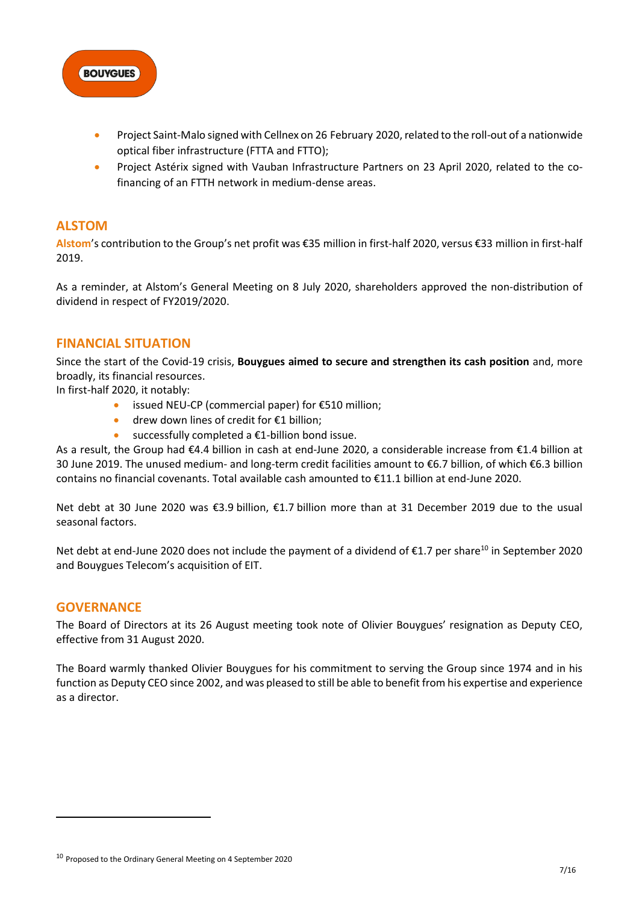

- Project Saint-Malo signed with Cellnex on 26 February 2020, related to the roll-out of a nationwide optical fiber infrastructure (FTTA and FTTO);
- Project Astérix signed with Vauban Infrastructure Partners on 23 April 2020, related to the cofinancing of an FTTH network in medium-dense areas.

# **ALSTOM**

**Alstom**'s contribution to the Group's net profit was €35 million in first-half 2020, versus €33 million in first-half 2019.

As a reminder, at Alstom's General Meeting on 8 July 2020, shareholders approved the non-distribution of dividend in respect of FY2019/2020.

## **FINANCIAL SITUATION**

Since the start of the Covid-19 crisis, **Bouygues aimed to secure and strengthen its cash position** and, more broadly, its financial resources.

In first-half 2020, it notably:

- issued NEU-CP (commercial paper) for €510 million;
- drew down lines of credit for €1 billion;
- successfully completed a  $E1$ -billion bond issue.

As a result, the Group had €4.4 billion in cash at end-June 2020, a considerable increase from €1.4 billion at 30 June 2019. The unused medium- and long-term credit facilities amount to €6.7 billion, of which €6.3 billion contains no financial covenants. Total available cash amounted to €11.1 billion at end-June 2020.

Net debt at 30 June 2020 was €3.9 billion, €1.7 billion more than at 31 December 2019 due to the usual seasonal factors.

Net debt at end-June 2020 does not include the payment of a dividend of  $\epsilon$ 1.7 per share<sup>10</sup> in September 2020 and Bouygues Telecom's acquisition of EIT.

## **GOVERNANCE**

The Board of Directors at its 26 August meeting took note of Olivier Bouygues' resignation as Deputy CEO, effective from 31 August 2020.

The Board warmly thanked Olivier Bouygues for his commitment to serving the Group since 1974 and in his function as Deputy CEO since 2002, and was pleased to still be able to benefit from his expertise and experience as a director.

<sup>10</sup> Proposed to the Ordinary General Meeting on 4 September 2020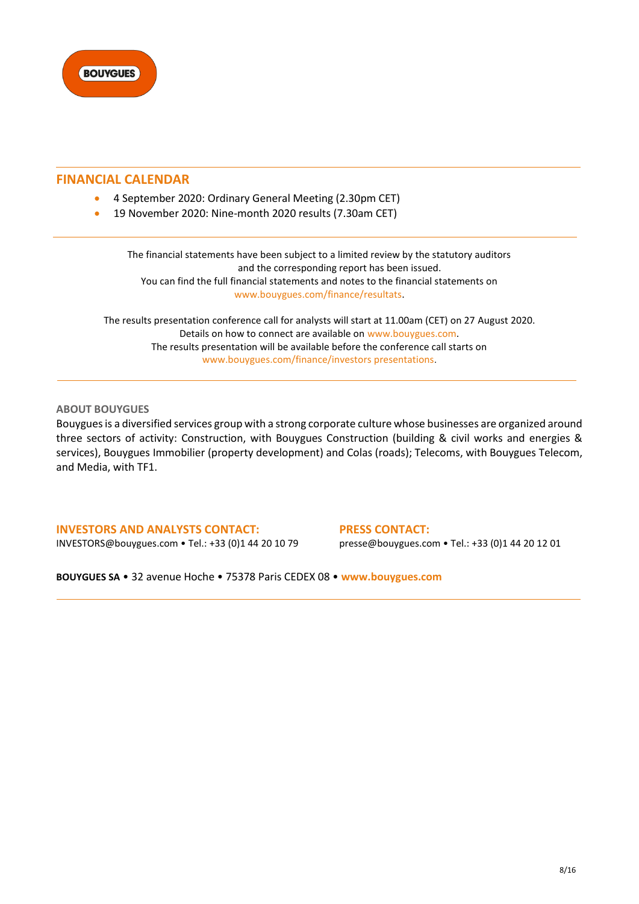

## **FINANCIAL CALENDAR**

- 4 September 2020: Ordinary General Meeting (2.30pm CET)
- 19 November 2020: Nine-month 2020 results (7.30am CET)

The financial statements have been subject to a limited review by the statutory auditors and the corresponding report has been issued. You can find the full financial statements and notes to the financial statements on [www.bouygues.com/finance/resultats.](https://www.bouygues.com/finance/resultats/)

The results presentation conference call for analysts will start at 11.00am (CET) on 27 August 2020. Details on how to connect are available on [www.bouygues.com.](https://www.bouygues.com/) The results presentation will be available before the conference call starts on [www.bouygues.com/finance/investors presentations](http://www.bouygues.com/finance/investors%20presentations).

#### **ABOUT BOUYGUES**

Bouygues is a diversified services group with a strong corporate culture whose businesses are organized around three sectors of activity: Construction, with Bouygues Construction (building & civil works and energies & services), Bouygues Immobilier (property development) and Colas (roads); Telecoms, with Bouygues Telecom, and Media, with TF1.

**INVESTORS AND ANALYSTS CONTACT:** [INVESTORS@bouygues.com](mailto:INVESTORS@bouygues.com) • Tel.: +33 (0)1 44 20 10 79

**PRESS CONTACT:** presse@bouygues.com • Tel.: +33 (0)1 44 20 12 01

**BOUYGUES SA** • 32 avenue Hoche • 75378 Paris CEDEX 08 • **[www.bouygues.com](https://www.bouygues.com/)**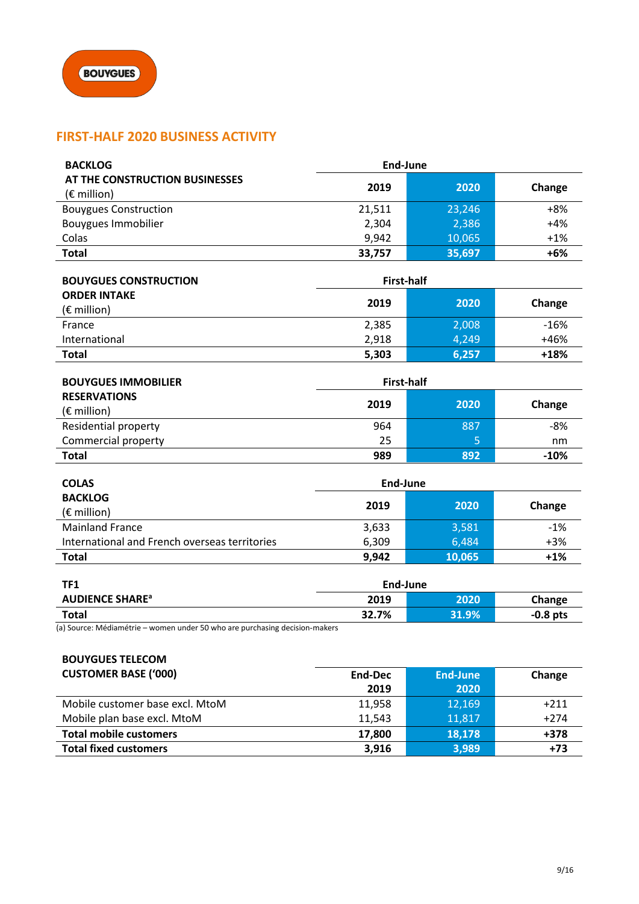# **FIRST-HALF 2020 BUSINESS ACTIVITY**

| <b>BACKLOG</b>                                          | End-June |        |        |
|---------------------------------------------------------|----------|--------|--------|
| AT THE CONSTRUCTION BUSINESSES<br>$(E \text{ million})$ | 2019     | 2020   | Change |
| <b>Bouygues Construction</b>                            | 21.511   | 23.246 | $+8%$  |
| <b>Bouygues Immobilier</b>                              | 2,304    | 2,386  | $+4%$  |
| Colas                                                   | 9,942    | 10,065 | $+1%$  |
| <b>Total</b>                                            | 33,757   | 35,697 | $+6%$  |

| <b>BOUYGUES CONSTRUCTION</b>                | First-half |       |        |
|---------------------------------------------|------------|-------|--------|
| <b>ORDER INTAKE</b><br>$(\epsilon$ million) | 2019       | 2020  | Change |
| France                                      | 2,385      | 2,008 | $-16%$ |
| International                               | 2.918      | 4.249 | +46%   |
| Total                                       | 5,303      | 6,257 | $+18%$ |

| <b>BOUYGUES IMMOBILIER</b> | <b>First-half</b> |        |        |  |
|----------------------------|-------------------|--------|--------|--|
| <b>RESERVATIONS</b>        | 2019              | Change |        |  |
| $(E \text{ million})$      |                   | 2020   |        |  |
| Residential property       | 964               | 887    | $-8%$  |  |
| Commercial property        | 25                | 5      | nm     |  |
| <b>Total</b>               | 989               | 892    | $-10%$ |  |

| <b>COLAS</b>                                  | End-June |        |        |  |
|-----------------------------------------------|----------|--------|--------|--|
| <b>BACKLOG</b>                                | 2019     | 2020   | Change |  |
| $(E \text{ million})$                         |          |        |        |  |
| <b>Mainland France</b>                        | 3,633    | 3,581  | $-1%$  |  |
| International and French overseas territories | 6,309    | 6.484  | $+3%$  |  |
| <b>Total</b>                                  | 9,942    | 10,065 | $+1%$  |  |

| TF1                               | End-June |       |            |  |
|-----------------------------------|----------|-------|------------|--|
| <b>AUDIENCE SHARE<sup>a</sup></b> | 2019     | 2020  | Change     |  |
| <b>Total</b>                      | 32.7%    | 31.9% | $-0.8$ pts |  |

(a) Source: Médiamétrie – women under 50 who are purchasing decision-makers

| <b>BOUYGUES TELECOM</b>         |         |                 |        |
|---------------------------------|---------|-----------------|--------|
| <b>CUSTOMER BASE ('000)</b>     | End-Dec | <b>End-June</b> | Change |
|                                 | 2019    | 2020            |        |
| Mobile customer base excl. MtoM | 11,958  | 12,169          | $+211$ |
| Mobile plan base excl. MtoM     | 11,543  | 11,817          | $+274$ |
| <b>Total mobile customers</b>   | 17,800  | 18,178          | $+378$ |
| <b>Total fixed customers</b>    | 3,916   | 3,989           | $+73$  |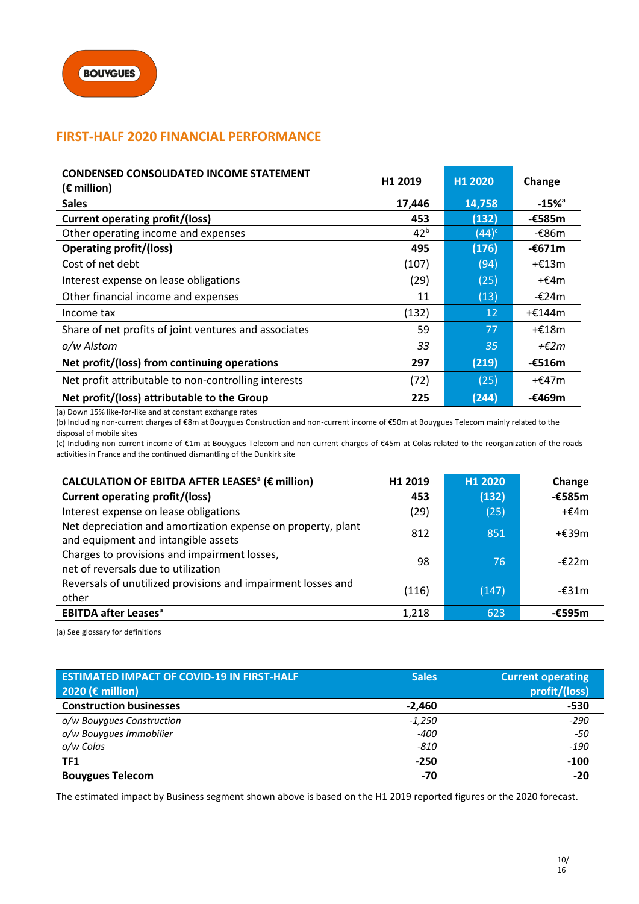# **FIRST-HALF 2020 FINANCIAL PERFORMANCE**

| <b>CONDENSED CONSOLIDATED INCOME STATEMENT</b><br>$(\epsilon$ million) | H1 2019         | H <sub>1</sub> 2020 | Change              |
|------------------------------------------------------------------------|-----------------|---------------------|---------------------|
| <b>Sales</b>                                                           | 17,446          | 14,758              | $-15%$ <sup>a</sup> |
| <b>Current operating profit/(loss)</b>                                 | 453             | (132)               | -€585m              |
| Other operating income and expenses                                    | 42 <sup>b</sup> | $(44)^c$            | -€86m               |
| <b>Operating profit/(loss)</b>                                         | 495             | (176)               | $-6671m$            |
| Cost of net debt                                                       | (107)           | (94)                | + $£13m$            |
| Interest expense on lease obligations                                  | (29)            | (25)                | + $E4m$             |
| Other financial income and expenses                                    | 11              | (13)                | -€24m               |
| Income tax                                                             | (132)           | 12                  | +€144m              |
| Share of net profits of joint ventures and associates                  | 59              | 77                  | +€18m               |
| o/w Alstom                                                             | 33              | 35                  | + $\epsilon$ 2m     |
| Net profit/(loss) from continuing operations                           | 297             | (219)               | -€516m              |
| Net profit attributable to non-controlling interests                   | (72)            | (25)                | $+£47m$             |
| Net profit/(loss) attributable to the Group                            | 225             | (244)               | -€469m              |

(a) Down 15% like-for-like and at constant exchange rates

(b) Including non-current charges of €8m at Bouygues Construction and non-current income of €50m at Bouygues Telecom mainly related to the disposal of mobile sites

(c) Including non-current income of €1m at Bouygues Telecom and non-current charges of €45m at Colas related to the reorganization of the roads activities in France and the continued dismantling of the Dunkirk site

| CALCULATION OF EBITDA AFTER LEASES <sup>a</sup> (€ million)                                         | H1 2019 | H1 2020 | Change          |
|-----------------------------------------------------------------------------------------------------|---------|---------|-----------------|
| <b>Current operating profit/(loss)</b>                                                              | 453     | (132)   | -€585m          |
| Interest expense on lease obligations                                                               | (29)    | (25)    | $+£4m$          |
| Net depreciation and amortization expense on property, plant<br>and equipment and intangible assets | 812     | 851     | +€39m           |
| Charges to provisions and impairment losses,<br>net of reversals due to utilization                 | 98      | 76      | $-\epsilon$ 22m |
| Reversals of unutilized provisions and impairment losses and<br>other                               | (116)   | (147)   | $-\epsilon$ 31m |
| <b>EBITDA after Leases<sup>a</sup></b>                                                              | 1.218   | 623     | $-£595m$        |

(a) See glossary for definitions

| <b>ESTIMATED IMPACT OF COVID-19 IN FIRST-HALF</b> | <b>Sales</b> | <b>Current operating</b> |
|---------------------------------------------------|--------------|--------------------------|
| 2020 ( $\epsilon$ million)                        |              | profit/(loss)            |
| <b>Construction businesses</b>                    | $-2,460$     | -530                     |
| o/w Bouygues Construction                         | $-1,250$     | $-290$                   |
| o/w Bouygues Immobilier                           | -400         | -50                      |
| o/w Colas                                         | -810         | $-190$                   |
| <b>TF1</b>                                        | $-250$       | $-100$                   |
| <b>Bouygues Telecom</b>                           | -70          | $-20$                    |

The estimated impact by Business segment shown above is based on the H1 2019 reported figures or the 2020 forecast.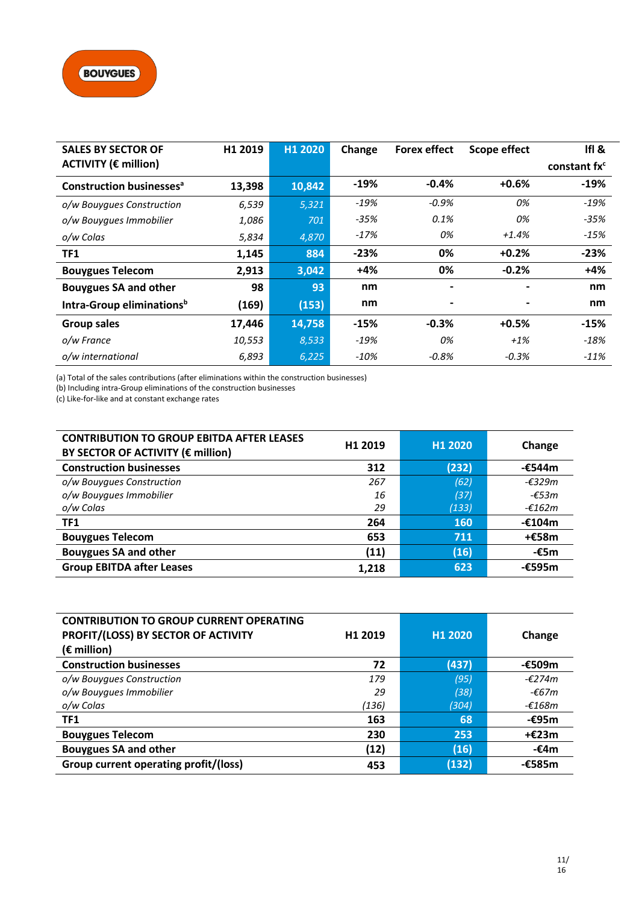| <b>SALES BY SECTOR OF</b>                  | H1 2019 | H1 2020 | Change | <b>Forex effect</b>      | <b>Scope effect</b> | IfI &                    |
|--------------------------------------------|---------|---------|--------|--------------------------|---------------------|--------------------------|
| <b>ACTIVITY (€ million)</b>                |         |         |        |                          |                     | constant fx <sup>c</sup> |
| <b>Construction businesses<sup>a</sup></b> | 13,398  | 10,842  | $-19%$ | $-0.4%$                  | $+0.6%$             | $-19%$                   |
| o/w Bouygues Construction                  | 6,539   | 5,321   | $-19%$ | $-0.9%$                  | 0%                  | $-19%$                   |
| o/w Bouygues Immobilier                    | 1,086   | 701     | $-35%$ | 0.1%                     | 0%                  | $-35%$                   |
| o/w Colas                                  | 5,834   | 4,870   | $-17%$ | 0%                       | $+1.4%$             | $-15%$                   |
| TF1                                        | 1,145   | 884     | $-23%$ | 0%                       | $+0.2%$             | $-23%$                   |
| <b>Bouygues Telecom</b>                    | 2,913   | 3,042   | $+4%$  | 0%                       | $-0.2%$             | $+4%$                    |
| <b>Bouygues SA and other</b>               | 98      | 93      | nm     | $\overline{\phantom{0}}$ |                     | nm                       |
| Intra-Group eliminations <sup>b</sup>      | (169)   | (153)   | nm     |                          |                     | nm                       |
| <b>Group sales</b>                         | 17,446  | 14,758  | $-15%$ | $-0.3%$                  | $+0.5%$             | $-15%$                   |
| o/w France                                 | 10,553  | 8,533   | $-19%$ | 0%                       | $+1\%$              | $-18%$                   |
| o/w international                          | 6,893   | 6,225   | $-10%$ | $-0.8%$                  | $-0.3%$             | $-11%$                   |

(a) Total of the sales contributions (after eliminations within the construction businesses)

(b) Including intra-Group eliminations of the construction businesses

(c) Like-for-like and at constant exchange rates

| <b>CONTRIBUTION TO GROUP EBITDA AFTER LEASES</b><br>BY SECTOR OF ACTIVITY (€ million) | H1 2019 | H1 2020    | Change   |
|---------------------------------------------------------------------------------------|---------|------------|----------|
| <b>Construction businesses</b>                                                        | 312     | (232)      | -€544m   |
| o/w Bouygues Construction                                                             | 267     | (62)       | $-£329m$ |
| o/w Bouygues Immobilier                                                               | 16      | (37)       | $-£53m$  |
| o/w Colas                                                                             | 29      | (133)      | -€162m   |
| TF1                                                                                   | 264     | <b>160</b> | -€104m   |
| <b>Bouygues Telecom</b>                                                               | 653     | 711        | +€58m    |
| <b>Bouygues SA and other</b>                                                          | (11)    | (16)       | $-£5m$   |
| <b>Group EBITDA after Leases</b>                                                      | 1,218   | 623        | -€595m   |

| <b>CONTRIBUTION TO GROUP CURRENT OPERATING</b> |         |         |                  |
|------------------------------------------------|---------|---------|------------------|
| PROFIT/(LOSS) BY SECTOR OF ACTIVITY            | H1 2019 | H1 2020 | Change           |
| $(E \text{ million})$                          |         |         |                  |
| <b>Construction businesses</b>                 | 72      | (437)   | -€509m           |
| o/w Bouygues Construction                      | 179     | (95)    | $-\epsilon$ 274m |
| o/w Bouygues Immobilier                        | 29      | (38)    | -€67m            |
| o/w Colas                                      | (136)   | (304)   | -€168m           |
| TF1                                            | 163     | 68      | $-£95m$          |
| <b>Bouygues Telecom</b>                        | 230     | 253     | +€23m            |
| <b>Bouygues SA and other</b>                   | (12)    | (16)    | $-£4m$           |
| Group current operating profit/(loss)          | 453     | (132)   | $-£585m$         |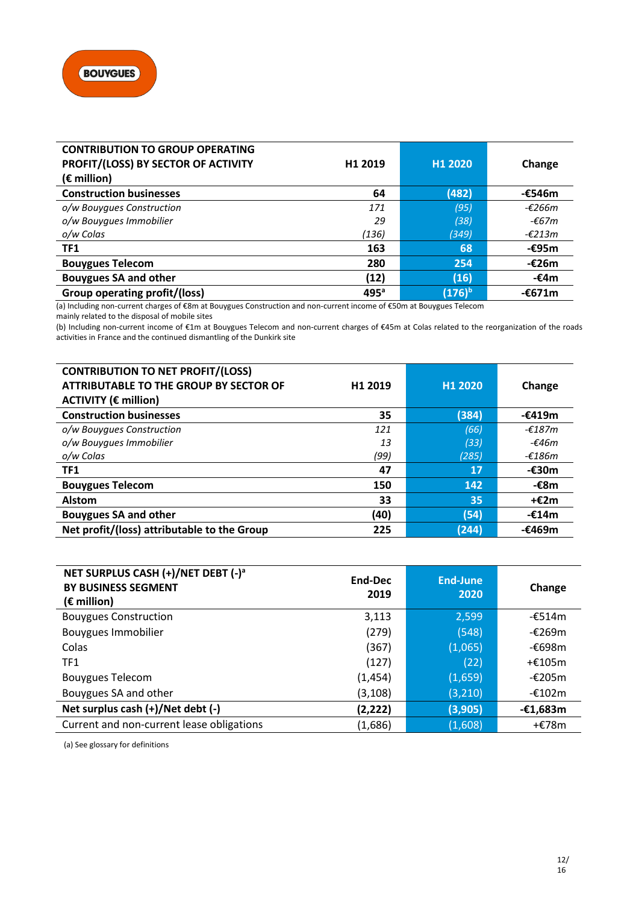

| <b>CONTRIBUTION TO GROUP OPERATING</b> |                  |           |                  |
|----------------------------------------|------------------|-----------|------------------|
| PROFIT/(LOSS) BY SECTOR OF ACTIVITY    | H1 2019          | H1 2020   | Change           |
| $(\epsilon$ million)                   |                  |           |                  |
| <b>Construction businesses</b>         | 64               | (482)     | -€546m           |
| o/w Bouygues Construction              | 171              | (95)      | -€266m           |
| o/w Bouygues Immobilier                | 29               | (38)      | $-£67m$          |
| o/w Colas                              | (136)            | (349)     | $-\epsilon$ 213m |
| TF1                                    | 163              | 68        | $-£95m$          |
| <b>Bouygues Telecom</b>                | 280              | 254       | $-£26m$          |
| <b>Bouygues SA and other</b>           | (12)             | (16)      | $-£4m$           |
| <b>Group operating profit/(loss)</b>   | 495 <sup>a</sup> | $(176)^b$ | -€671m           |

(a) Including non-current charges of €8m at Bouygues Construction and non-current income of €50m at Bouygues Telecom mainly related to the disposal of mobile sites

(b) Including non-current income of €1m at Bouygues Telecom and non-current charges of €45m at Colas related to the reorganization of the roads activities in France and the continued dismantling of the Dunkirk site

| <b>CONTRIBUTION TO NET PROFIT/(LOSS)</b><br><b>ATTRIBUTABLE TO THE GROUP BY SECTOR OF</b><br><b>ACTIVITY (€ million)</b> | H <sub>1</sub> 2019 | H1 2020 | Change   |
|--------------------------------------------------------------------------------------------------------------------------|---------------------|---------|----------|
| <b>Construction businesses</b>                                                                                           | 35                  | (384)   | -€419m   |
| o/w Bouygues Construction                                                                                                | 121                 | (66)    | -€187m   |
| o/w Bouygues Immobilier                                                                                                  | 13                  | (33)    | -£46 $m$ |
| o/w Colas                                                                                                                | (99)                | (285)   | $-£186m$ |
| TF1                                                                                                                      | 47                  | 17      | -€30m    |
| <b>Bouygues Telecom</b>                                                                                                  | 150                 | 142     | -€8m     |
| <b>Alstom</b>                                                                                                            | 33                  | 35      | $+E2m$   |
| <b>Bouygues SA and other</b>                                                                                             | (40)                | (54)    | -€14m    |
| Net profit/(loss) attributable to the Group                                                                              | 225                 | (244)   | -€469m   |

| NET SURPLUS CASH (+)/NET DEBT (-) <sup>a</sup><br><b>BY BUSINESS SEGMENT</b><br>$(\epsilon$ million) | End-Dec<br>2019 | <b>End-June</b><br>2020 | Change     |
|------------------------------------------------------------------------------------------------------|-----------------|-------------------------|------------|
| <b>Bouygues Construction</b>                                                                         | 3,113           | 2,599                   | -€514m     |
| <b>Bouygues Immobilier</b>                                                                           | (279)           | (548)                   | -€269m     |
| Colas                                                                                                | (367)           | (1,065)                 | -€698m     |
| TF <sub>1</sub>                                                                                      | (127)           | (22)                    | $+£105m$   |
| <b>Bouygues Telecom</b>                                                                              | (1, 454)        | (1,659)                 | -€205m     |
| Bouygues SA and other                                                                                | (3, 108)        | (3, 210)                | -€102m     |
| Net surplus cash (+)/Net debt (-)                                                                    | (2,222)         | (3,905)                 | $-£1,683m$ |
| Current and non-current lease obligations                                                            | (1,686)         | (1,608)                 | +€78m      |

(a) See glossary for definitions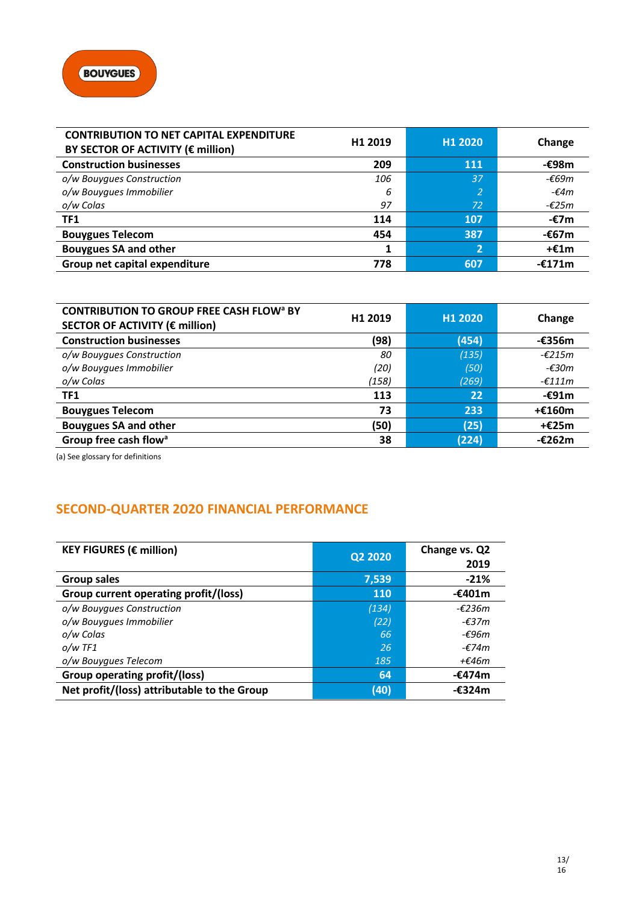| <b>CONTRIBUTION TO NET CAPITAL EXPENDITURE</b><br>BY SECTOR OF ACTIVITY (€ million) | H <sub>1</sub> 2019 | H <sub>1</sub> 2020 | Change          |
|-------------------------------------------------------------------------------------|---------------------|---------------------|-----------------|
| <b>Construction businesses</b>                                                      | 209                 | <b>111</b>          | $-£98m$         |
| o/w Bouygues Construction                                                           | 106                 | 37                  | $-669m$         |
| o/w Bouygues Immobilier                                                             | 6                   | 2                   | - $\epsilon$ 4m |
| o/w Colas                                                                           | 97                  | 72                  | -€25m           |
| TF1                                                                                 | 114                 | 107                 | -€7m            |
| <b>Bouygues Telecom</b>                                                             | 454                 | 387                 | $-667m$         |
| <b>Bouygues SA and other</b>                                                        | 1                   | 2                   | $+£1m$          |
| Group net capital expenditure                                                       | 778                 | 607                 | $-£171m$        |

| <b>CONTRIBUTION TO GROUP FREE CASH FLOW<sup>a</sup> BY</b><br>SECTOR OF ACTIVITY (€ million) | H <sub>1</sub> 2019 | H1 2020 | Change           |
|----------------------------------------------------------------------------------------------|---------------------|---------|------------------|
| <b>Construction businesses</b>                                                               | (98)                | (454)   | $-£356m$         |
| o/w Bouygues Construction                                                                    | 80                  | (135)   | $-\epsilon$ 215m |
| o/w Bouygues Immobilier                                                                      | (20)                | (50)    | -€30m            |
| o/w Colas                                                                                    | (158)               | (269)   | $-\epsilon$ 111m |
| TF1                                                                                          | 113                 | 22      | $-£91m$          |
| <b>Bouygues Telecom</b>                                                                      | 73                  | 233     | $+£160m$         |
| <b>Bouygues SA and other</b>                                                                 | (50)                | (25)    | +€25m            |
| Group free cash flow <sup>a</sup>                                                            | 38                  | (224)   | -€262m           |

(a) See glossary for definitions

# **SECOND-QUARTER 2020 FINANCIAL PERFORMANCE**

| <b>KEY FIGURES (€ million)</b>              | Q2 2020    | Change vs. Q2<br>2019 |
|---------------------------------------------|------------|-----------------------|
| <b>Group sales</b>                          | 7,539      | $-21%$                |
| Group current operating profit/(loss)       | <b>110</b> | -€401m                |
| o/w Bouyques Construction                   | (134)      | $-£236m$              |
| o/w Bouygues Immobilier                     | (22)       | $-\epsilon$ 37m       |
| o/w Colas                                   | 66         | -€96m                 |
| $o/w$ TF1                                   | 26         | -€74m                 |
| o/w Bouygues Telecom                        | 185        | +€46m                 |
| Group operating profit/(loss)               | 64         | -€474m                |
| Net profit/(loss) attributable to the Group | (40)       | -€324m                |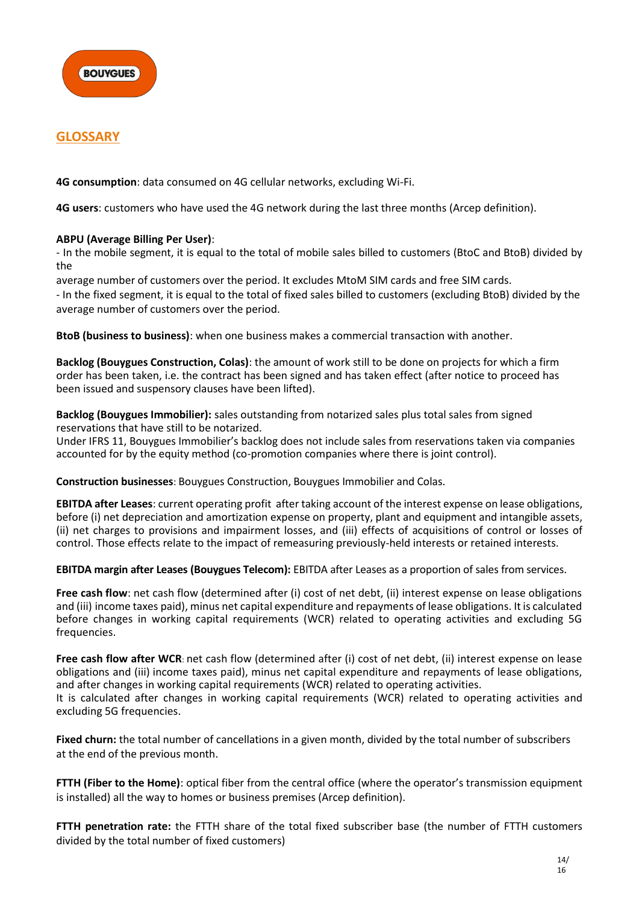

# **GLOSSARY**

**4G consumption**: data consumed on 4G cellular networks, excluding Wi-Fi.

**4G users**: customers who have used the 4G network during the last three months (Arcep definition).

#### **ABPU (Average Billing Per User)**:

- In the mobile segment, it is equal to the total of mobile sales billed to customers (BtoC and BtoB) divided by the

average number of customers over the period. It excludes MtoM SIM cards and free SIM cards.

- In the fixed segment, it is equal to the total of fixed sales billed to customers (excluding BtoB) divided by the average number of customers over the period.

**BtoB (business to business)**: when one business makes a commercial transaction with another.

**Backlog (Bouygues Construction, Colas)**: the amount of work still to be done on projects for which a firm order has been taken, i.e. the contract has been signed and has taken effect (after notice to proceed has been issued and suspensory clauses have been lifted).

**Backlog (Bouygues Immobilier):** sales outstanding from notarized sales plus total sales from signed reservations that have still to be notarized.

Under IFRS 11, Bouygues Immobilier's backlog does not include sales from reservations taken via companies accounted for by the equity method (co-promotion companies where there is joint control).

**Construction businesses**: Bouygues Construction, Bouygues Immobilier and Colas.

**EBITDA after Leases**: current operating profit after taking account of the interest expense on lease obligations, before (i) net depreciation and amortization expense on property, plant and equipment and intangible assets, (ii) net charges to provisions and impairment losses, and (iii) effects of acquisitions of control or losses of control. Those effects relate to the impact of remeasuring previously-held interests or retained interests.

**EBITDA margin after Leases (Bouygues Telecom):** EBITDA after Leases as a proportion of sales from services.

**Free cash flow**: net cash flow (determined after (i) cost of net debt, (ii) interest expense on lease obligations and (iii) income taxes paid), minus net capital expenditure and repayments of lease obligations. It is calculated before changes in working capital requirements (WCR) related to operating activities and excluding 5G frequencies.

**Free cash flow after WCR**: net cash flow (determined after (i) cost of net debt, (ii) interest expense on lease obligations and (iii) income taxes paid), minus net capital expenditure and repayments of lease obligations, and after changes in working capital requirements (WCR) related to operating activities. It is calculated after changes in working capital requirements (WCR) related to operating activities and excluding 5G frequencies.

**Fixed churn:** the total number of cancellations in a given month, divided by the total number of subscribers at the end of the previous month.

**FTTH (Fiber to the Home)**: optical fiber from the central office (where the operator's transmission equipment is installed) all the way to homes or business premises (Arcep definition).

**FTTH penetration rate:** the FTTH share of the total fixed subscriber base (the number of FTTH customers divided by the total number of fixed customers)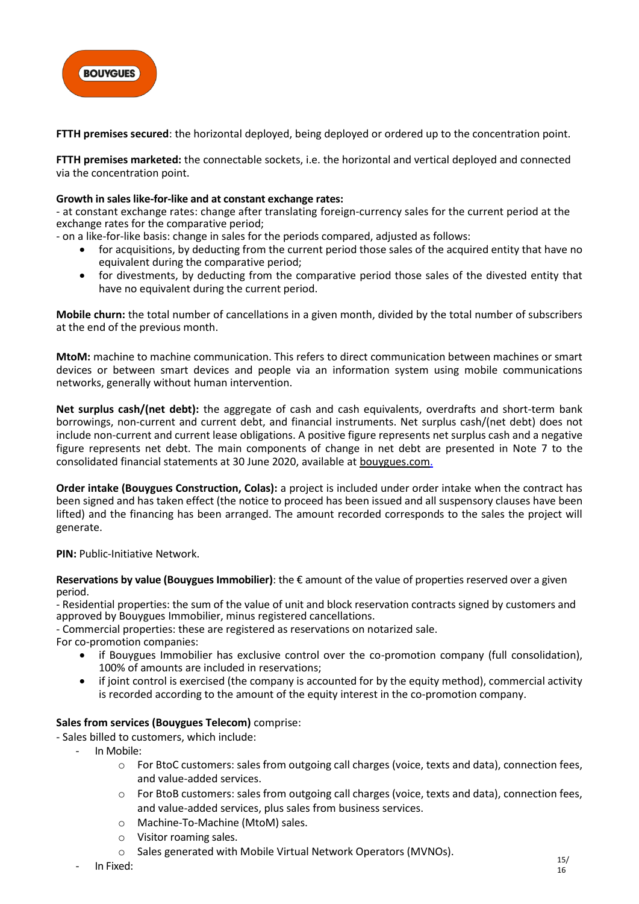

**FTTH premises secured**: the horizontal deployed, being deployed or ordered up to the concentration point.

**FTTH premises marketed:** the connectable sockets, i.e. the horizontal and vertical deployed and connected via the concentration point.

#### **Growth in sales like-for-like and at constant exchange rates:**

- at constant exchange rates: change after translating foreign-currency sales for the current period at the exchange rates for the comparative period;

- on a like-for-like basis: change in sales for the periods compared, adjusted as follows:
	- for acquisitions, by deducting from the current period those sales of the acquired entity that have no equivalent during the comparative period;
	- for divestments, by deducting from the comparative period those sales of the divested entity that have no equivalent during the current period.

**Mobile churn:** the total number of cancellations in a given month, divided by the total number of subscribers at the end of the previous month.

**MtoM:** machine to machine communication. This refers to direct communication between machines or smart devices or between smart devices and people via an information system using mobile communications networks, generally without human intervention.

**Net surplus cash/(net debt):** the aggregate of cash and cash equivalents, overdrafts and short-term bank borrowings, non-current and current debt, and financial instruments. Net surplus cash/(net debt) does not include non-current and current lease obligations. A positive figure represents net surplus cash and a negative figure represents net debt. The main components of change in net debt are presented in Note 7 to the consolidated financial statements at 30 June 2020, available at [bouygues.com.](http://www.bouygues.com/)

**Order intake (Bouygues Construction, Colas):** a project is included under order intake when the contract has been signed and has taken effect (the notice to proceed has been issued and all suspensory clauses have been lifted) and the financing has been arranged. The amount recorded corresponds to the sales the project will generate.

#### **PIN: Public-Initiative Network.**

**Reservations by value (Bouygues Immobilier)**: the € amount of the value of properties reserved over a given period.

- Residential properties: the sum of the value of unit and block reservation contracts signed by customers and approved by Bouygues Immobilier, minus registered cancellations.

- Commercial properties: these are registered as reservations on notarized sale.

For co-promotion companies:

- if Bouygues Immobilier has exclusive control over the co-promotion company (full consolidation), 100% of amounts are included in reservations;
- if joint control is exercised (the company is accounted for by the equity method), commercial activity is recorded according to the amount of the equity interest in the co-promotion company.

#### **Sales from services (Bouygues Telecom)** comprise:

- Sales billed to customers, which include:

- In Mobile:
	- o For BtoC customers: sales from outgoing call charges (voice, texts and data), connection fees, and value-added services.
	- o For BtoB customers: sales from outgoing call charges (voice, texts and data), connection fees, and value-added services, plus sales from business services.
	- o Machine-To-Machine (MtoM) sales.
	- o Visitor roaming sales.
	- o Sales generated with Mobile Virtual Network Operators (MVNOs).